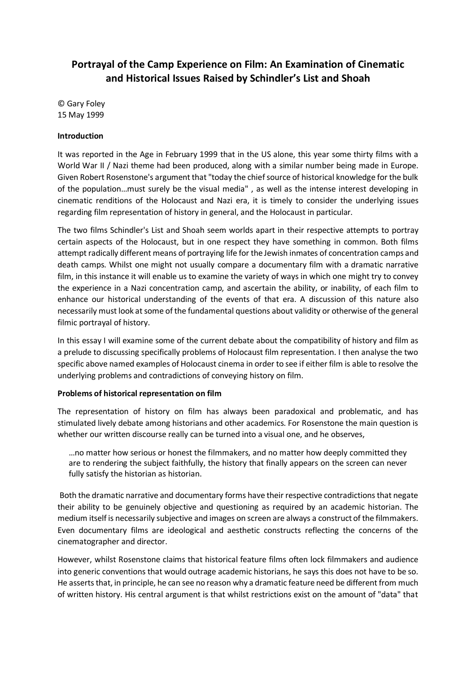# **Portrayal of the Camp Experience on Film: An Examination of Cinematic and Historical Issues Raised by Schindler's List and Shoah**

© Gary Foley 15 May 1999

## **Introduction**

It was reported in the Age in February 1999 that in the US alone, this year some thirty films with a World War II / Nazi theme had been produced, along with a similar number being made in Europe. Given Robert Rosenstone's argument that "today the chief source of historical knowledge for the bulk of the population…must surely be the visual media" , as well as the intense interest developing in cinematic renditions of the Holocaust and Nazi era, it is timely to consider the underlying issues regarding film representation of history in general, and the Holocaust in particular.

The two films Schindler's List and Shoah seem worlds apart in their respective attempts to portray certain aspects of the Holocaust, but in one respect they have something in common. Both films attempt radically different means of portraying life for the Jewish inmates of concentration camps and death camps. Whilst one might not usually compare a documentary film with a dramatic narrative film, in this instance it will enable us to examine the variety of ways in which one might try to convey the experience in a Nazi concentration camp, and ascertain the ability, or inability, of each film to enhance our historical understanding of the events of that era. A discussion of this nature also necessarily must look at some of the fundamental questions about validity or otherwise of the general filmic portrayal of history.

In this essay I will examine some of the current debate about the compatibility of history and film as a prelude to discussing specifically problems of Holocaust film representation. I then analyse the two specific above named examples of Holocaust cinema in order to see if either film is able to resolve the underlying problems and contradictions of conveying history on film.

## **Problems of historical representation on film**

The representation of history on film has always been paradoxical and problematic, and has stimulated lively debate among historians and other academics. For Rosenstone the main question is whether our written discourse really can be turned into a visual one, and he observes,

…no matter how serious or honest the filmmakers, and no matter how deeply committed they are to rendering the subject faithfully, the history that finally appears on the screen can never fully satisfy the historian as historian.

Both the dramatic narrative and documentary forms have their respective contradictions that negate their ability to be genuinely objective and questioning as required by an academic historian. The medium itself is necessarily subjective and images on screen are always a construct of the filmmakers. Even documentary films are ideological and aesthetic constructs reflecting the concerns of the cinematographer and director.

However, whilst Rosenstone claims that historical feature films often lock filmmakers and audience into generic conventions that would outrage academic historians, he says this does not have to be so. He asserts that, in principle, he can see no reason why a dramatic feature need be different from much of written history. His central argument is that whilst restrictions exist on the amount of "data" that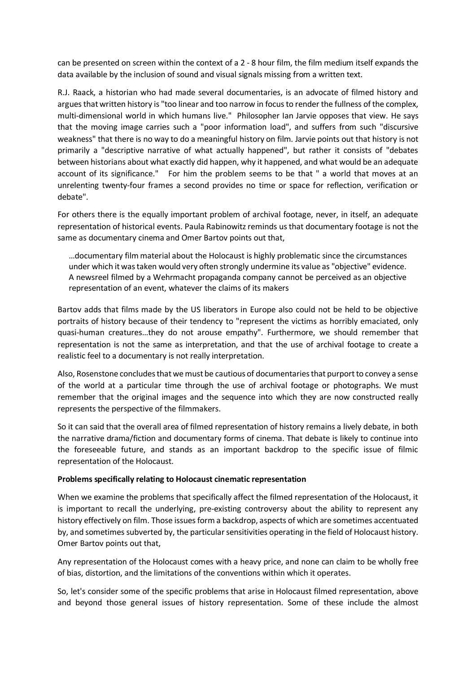can be presented on screen within the context of a 2 - 8 hour film, the film medium itself expands the data available by the inclusion of sound and visual signals missing from a written text.

R.J. Raack, a historian who had made several documentaries, is an advocate of filmed history and argues that written history is "too linear and too narrow in focus to render the fullness of the complex, multi-dimensional world in which humans live." Philosopher Ian Jarvie opposes that view. He says that the moving image carries such a "poor information load", and suffers from such "discursive weakness" that there is no way to do a meaningful history on film. Jarvie points out that history is not primarily a "descriptive narrative of what actually happened", but rather it consists of "debates between historians about what exactly did happen, why it happened, and what would be an adequate account of its significance." For him the problem seems to be that " a world that moves at an unrelenting twenty-four frames a second provides no time or space for reflection, verification or debate".

For others there is the equally important problem of archival footage, never, in itself, an adequate representation of historical events. Paula Rabinowitz reminds us that documentary footage is not the same as documentary cinema and Omer Bartov points out that,

…documentary film material about the Holocaust is highly problematic since the circumstances under which it was taken would very often strongly undermine its value as "objective" evidence. A newsreel filmed by a Wehrmacht propaganda company cannot be perceived as an objective representation of an event, whatever the claims of its makers

Bartov adds that films made by the US liberators in Europe also could not be held to be objective portraits of history because of their tendency to "represent the victims as horribly emaciated, only quasi-human creatures…they do not arouse empathy". Furthermore, we should remember that representation is not the same as interpretation, and that the use of archival footage to create a realistic feel to a documentary is not really interpretation.

Also, Rosenstone concludes that we must be cautious of documentaries that purport to convey a sense of the world at a particular time through the use of archival footage or photographs. We must remember that the original images and the sequence into which they are now constructed really represents the perspective of the filmmakers.

So it can said that the overall area of filmed representation of history remains a lively debate, in both the narrative drama/fiction and documentary forms of cinema. That debate is likely to continue into the foreseeable future, and stands as an important backdrop to the specific issue of filmic representation of the Holocaust.

## **Problems specifically relating to Holocaust cinematic representation**

When we examine the problems that specifically affect the filmed representation of the Holocaust, it is important to recall the underlying, pre-existing controversy about the ability to represent any history effectively on film. Those issues form a backdrop, aspects of which are sometimes accentuated by, and sometimes subverted by, the particular sensitivities operating in the field of Holocaust history. Omer Bartov points out that,

Any representation of the Holocaust comes with a heavy price, and none can claim to be wholly free of bias, distortion, and the limitations of the conventions within which it operates.

So, let's consider some of the specific problems that arise in Holocaust filmed representation, above and beyond those general issues of history representation. Some of these include the almost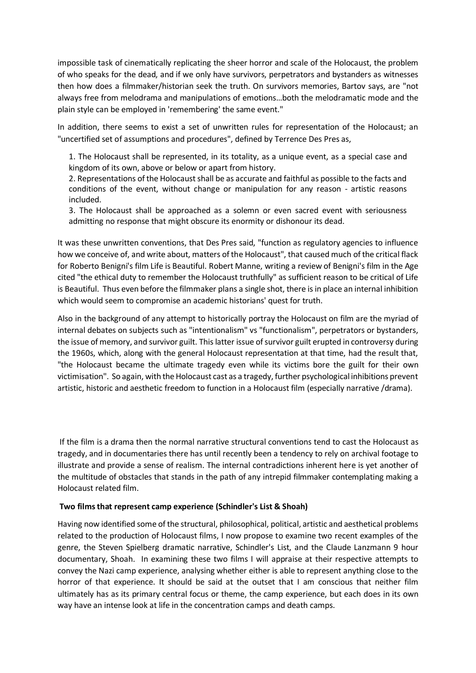impossible task of cinematically replicating the sheer horror and scale of the Holocaust, the problem of who speaks for the dead, and if we only have survivors, perpetrators and bystanders as witnesses then how does a filmmaker/historian seek the truth. On survivors memories, Bartov says, are "not always free from melodrama and manipulations of emotions…both the melodramatic mode and the plain style can be employed in 'remembering' the same event."

In addition, there seems to exist a set of unwritten rules for representation of the Holocaust; an "uncertified set of assumptions and procedures", defined by Terrence Des Pres as,

1. The Holocaust shall be represented, in its totality, as a unique event, as a special case and kingdom of its own, above or below or apart from history.

2. Representations of the Holocaust shall be as accurate and faithful as possible to the facts and conditions of the event, without change or manipulation for any reason - artistic reasons included.

3. The Holocaust shall be approached as a solemn or even sacred event with seriousness admitting no response that might obscure its enormity or dishonour its dead.

It was these unwritten conventions, that Des Pres said, "function as regulatory agencies to influence how we conceive of, and write about, matters of the Holocaust", that caused much of the critical flack for Roberto Benigni's film Life is Beautiful. Robert Manne, writing a review of Benigni's film in the Age cited "the ethical duty to remember the Holocaust truthfully" as sufficient reason to be critical of Life is Beautiful. Thus even before the filmmaker plans a single shot, there is in place an internal inhibition which would seem to compromise an academic historians' quest for truth.

Also in the background of any attempt to historically portray the Holocaust on film are the myriad of internal debates on subjects such as "intentionalism" vs "functionalism", perpetrators or bystanders, the issue of memory, and survivor guilt. This latter issue of survivor guilt erupted in controversy during the 1960s, which, along with the general Holocaust representation at that time, had the result that, "the Holocaust became the ultimate tragedy even while its victims bore the guilt for their own victimisation". So again, with the Holocaust cast as a tragedy, further psychological inhibitions prevent artistic, historic and aesthetic freedom to function in a Holocaust film (especially narrative /drama).

If the film is a drama then the normal narrative structural conventions tend to cast the Holocaust as tragedy, and in documentaries there has until recently been a tendency to rely on archival footage to illustrate and provide a sense of realism. The internal contradictions inherent here is yet another of the multitude of obstacles that stands in the path of any intrepid filmmaker contemplating making a Holocaust related film.

#### **Two films that represent camp experience (Schindler's List & Shoah)**

Having now identified some of the structural, philosophical, political, artistic and aesthetical problems related to the production of Holocaust films, I now propose to examine two recent examples of the genre, the Steven Spielberg dramatic narrative, Schindler's List, and the Claude Lanzmann 9 hour documentary, Shoah. In examining these two films I will appraise at their respective attempts to convey the Nazi camp experience, analysing whether either is able to represent anything close to the horror of that experience. It should be said at the outset that I am conscious that neither film ultimately has as its primary central focus or theme, the camp experience, but each does in its own way have an intense look at life in the concentration camps and death camps.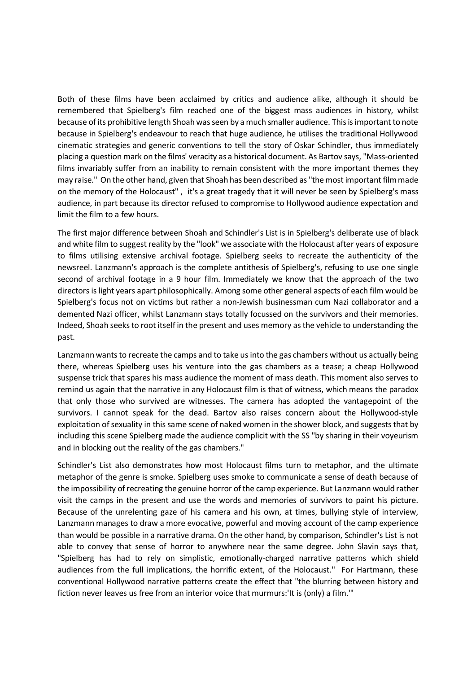Both of these films have been acclaimed by critics and audience alike, although it should be remembered that Spielberg's film reached one of the biggest mass audiences in history, whilst because of its prohibitive length Shoah was seen by a much smaller audience. This is important to note because in Spielberg's endeavour to reach that huge audience, he utilises the traditional Hollywood cinematic strategies and generic conventions to tell the story of Oskar Schindler, thus immediately placing a question mark on the films' veracity as a historical document. As Bartov says, "Mass-oriented films invariably suffer from an inability to remain consistent with the more important themes they may raise." On the other hand, given that Shoah has been described as "the most important film made on the memory of the Holocaust" , it's a great tragedy that it will never be seen by Spielberg's mass audience, in part because its director refused to compromise to Hollywood audience expectation and limit the film to a few hours.

The first major difference between Shoah and Schindler's List is in Spielberg's deliberate use of black and white film to suggest reality by the "look" we associate with the Holocaust after years of exposure to films utilising extensive archival footage. Spielberg seeks to recreate the authenticity of the newsreel. Lanzmann's approach is the complete antithesis of Spielberg's, refusing to use one single second of archival footage in a 9 hour film. Immediately we know that the approach of the two directors is light years apart philosophically. Among some other general aspects of each film would be Spielberg's focus not on victims but rather a non-Jewish businessman cum Nazi collaborator and a demented Nazi officer, whilst Lanzmann stays totally focussed on the survivors and their memories. Indeed, Shoah seeks to root itself in the present and uses memory as the vehicle to understanding the past.

Lanzmann wants to recreate the camps and to take us into the gas chambers without us actually being there, whereas Spielberg uses his venture into the gas chambers as a tease; a cheap Hollywood suspense trick that spares his mass audience the moment of mass death. This moment also serves to remind us again that the narrative in any Holocaust film is that of witness, which means the paradox that only those who survived are witnesses. The camera has adopted the vantagepoint of the survivors. I cannot speak for the dead. Bartov also raises concern about the Hollywood-style exploitation of sexuality in this same scene of naked women in the shower block, and suggests that by including this scene Spielberg made the audience complicit with the SS "by sharing in their voyeurism and in blocking out the reality of the gas chambers."

Schindler's List also demonstrates how most Holocaust films turn to metaphor, and the ultimate metaphor of the genre is smoke. Spielberg uses smoke to communicate a sense of death because of the impossibility of recreating the genuine horror of the camp experience. But Lanzmann would rather visit the camps in the present and use the words and memories of survivors to paint his picture. Because of the unrelenting gaze of his camera and his own, at times, bullying style of interview, Lanzmann manages to draw a more evocative, powerful and moving account of the camp experience than would be possible in a narrative drama. On the other hand, by comparison, Schindler's List is not able to convey that sense of horror to anywhere near the same degree. John Slavin says that, "Spielberg has had to rely on simplistic, emotionally-charged narrative patterns which shield audiences from the full implications, the horrific extent, of the Holocaust." For Hartmann, these conventional Hollywood narrative patterns create the effect that "the blurring between history and fiction never leaves us free from an interior voice that murmurs:'It is (only) a film.'"